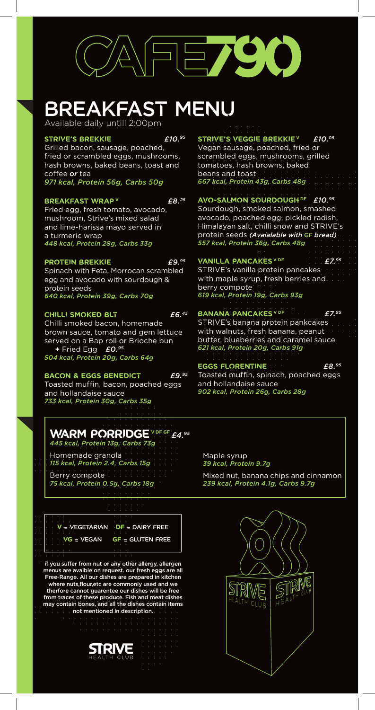

# BREAKFAST MENU

Available daily untill 2:00pm

#### **Strive's brekkie** *£10.95*

Grilled bacon, sausage, poached, fried or scrambled eggs, mushrooms, hash browns, baked beans, toast and coffee *or* tea *971 kcal, Protein 56g, Carbs 50g*

#### **Breakfast wrap <sup>V</sup>** *£8.25*

Fried egg, fresh tomato, avocado, mushroom, Strive's mixed salad and lime-harissa mayo served in a turmeric wrap *448 kcal, Protein 28g, Carbs 33g*

#### **PROTEIN BREKKIE** *£9.95*

Spinach with Feta, Morrocan scrambled egg and avocado with sourdough & protein seeds *640 kcal, Protein 39g, Carbs 70g*

#### **Chilli smoked blt** *£6.45*

Chilli smoked bacon, homemade brown sauce, tomato and gem lettuce served on a Bap roll or Brioche bun **+** Fried Egg *£0.95 504 kcal, Protein 20g, Carbs 64g*

#### **bacon & eggs benedict** *£9.95*

Toasted muffin, bacon, poached eggs and hollandaise sauce *733 kcal, Protein 30g, Carbs 35g*

#### **warm Porridge V DF GF** *£4.95 445 kcal, Protein 13g, Carbs 73g*

Homemade granola *115 kcal, Protein 2.4, Carbs 15g* Berry compote *75 kcal, Protein 0.5g, Carbs 18g*

**V** = Vegetarian **DF** = Dairy Free **VG** = Vegan **GF** = Gluten Free

if you suffer from nut or any other allergy, allergen menus are avaible on request. our fresh eggs are all Free-Range. All our dishes are prepared in kitchen where nuts,flour,etc are commonly used and we therfore cannot guarentee our dishes will be free from traces of these produce. Fish and meat dishes may contain bones, and all the dishes contain items not mentioned in description.



STRIVE'S VEGGIE BREKKIE<sup>V</sup> £10.05 Vegan sausage, poached, fried or scrambled eggs, mushrooms, grilled tomatoes, hash browns, baked beans and toast *667 kcal, Protein 43g, Carbs 48g*

#### **Avo-salmon sourdough DF** *£10.95*

Sourdough, smoked salmon, smashed avocado, poached egg, pickled radish, Himalayan salt, chilli snow and STRIVE's protein seeds *(Avaialable with* GF *bread) 557 kcal, Protein 36g, Carbs 48g*

#### **Vanilla pancakes V DF** *£7.95*

STRIVE's vanilla protein pancakes with maple syrup, fresh berries and berry compote *619 kcal, Protein 19g, Carbs 93g*

### **BANANA PANCAKES** V DF *£7.95*

STRIVE's banana protein pankcakes with walnuts, fresh banana, peanut butter, blueberries and caramel sauce *621 kcal, Protein 20g, Carbs 91g*

#### **eggs florentine** *£8.95*

Toasted muffin, spinach, poached eggs and hollandaise sauce *902 kcal, Protein 26g, Carbs 28g*

Maple syrup *39 kcal, Protein 9.7g*

Mixed nut, banana chips and cinnamon *239 kcal, Protein 4.1g, Carbs 9.7g*